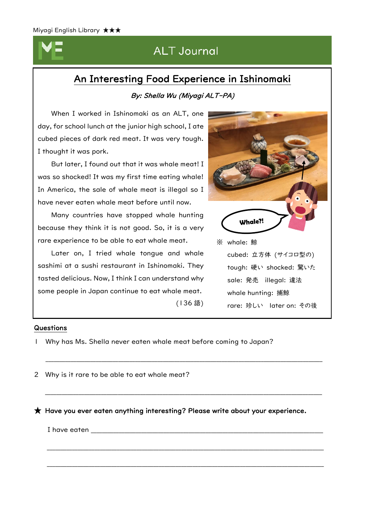. . . . . . . . . . . . . . . . . . . . . . . . . . . . . . . . . . . . . .

# **ALT Journal**

## An Interesting Food Experience in Ishinomaki

## By: Shella Wu (Miyagi ALT-PA)

 When I worked in Ishinomaki as an ALT, one day, for school lunch at the junior high school, I ate cubed pieces of dark red meat. It was very tough. I thought it was pork.

 But later, I found out that it was whale meat! I was so shocked! It was my first time eating whale! In America, the sale of whale meat is illegal so I have never eaten whale meat before until now.

 Many countries have stopped whale hunting because they think it is not good. So, it is a very rare experience to be able to eat whale meat.

 Later on, I tried whale tongue and whale sashimi at a sushi restaurant in Ishinomaki. They tasted delicious. Now, I think I can understand why some people in Japan continue to eat whale meat.

**Whale?!** ※ whale: 鯨 cubed: 立方体 (サイコロ型の) tough: 硬い shocked: 驚いた sale: 発売 illegal: 違法 whale hunting: 捕鯨 rare: 珍しい later on: その後

## **Questions**

- 1 Why has Ms. Shella never eaten whale meat before coming to Japan?
- 2 Why is it rare to be able to eat whale meat?

 $\bigstar$  Have you ever eaten anything interesting? Please write about your experience.

(136 語)

\_\_\_\_\_\_\_\_\_\_\_\_\_\_\_\_\_\_\_\_\_\_\_\_\_\_\_\_\_\_\_\_\_\_\_\_\_\_\_\_\_\_\_\_\_\_\_\_\_\_\_\_\_\_\_\_\_\_\_\_\_\_\_\_\_\_\_\_\_\_\_\_\_\_\_\_\_\_\_\_\_\_\_\_\_\_\_\_\_\_\_\_\_\_\_\_\_\_\_

\_\_\_\_\_\_\_\_\_\_\_\_\_\_\_\_\_\_\_\_\_\_\_\_\_\_\_\_\_\_\_\_\_\_\_\_\_\_\_\_\_\_\_\_\_\_\_\_\_\_\_\_\_\_\_\_\_\_\_\_\_\_\_\_\_\_\_\_\_\_\_\_\_\_\_\_\_\_\_\_\_\_\_\_\_\_\_\_\_\_\_\_\_\_\_\_\_\_\_

\_\_\_\_\_\_\_\_\_\_\_\_\_\_\_\_\_\_\_\_\_\_\_\_\_\_\_\_\_\_\_\_\_\_\_\_\_\_\_\_\_\_\_\_\_\_\_\_\_\_\_\_\_\_\_\_\_\_\_\_\_\_\_\_\_\_\_\_\_\_\_\_\_\_\_\_\_\_\_\_\_\_\_\_\_\_\_\_\_\_\_\_\_\_\_\_\_\_\_

\_\_\_\_\_\_\_\_\_\_\_\_\_\_\_\_\_\_\_\_\_\_\_\_\_\_\_\_\_\_\_\_\_\_\_\_\_\_\_\_\_\_\_\_\_\_\_\_\_\_\_\_\_\_\_\_\_\_\_\_\_\_\_\_\_\_\_\_\_\_\_\_\_\_\_\_\_\_\_\_\_\_\_\_\_\_\_\_\_\_\_\_\_\_\_\_\_\_\_

I have eaten \_\_\_\_\_\_\_\_\_\_\_\_\_\_\_\_\_\_\_\_\_\_\_\_\_\_\_\_\_\_\_\_\_\_\_\_\_\_\_\_\_\_\_\_\_\_\_\_\_\_\_\_\_\_\_\_\_\_\_\_\_\_\_\_\_\_\_\_\_\_\_\_\_\_\_\_\_\_\_\_\_\_\_